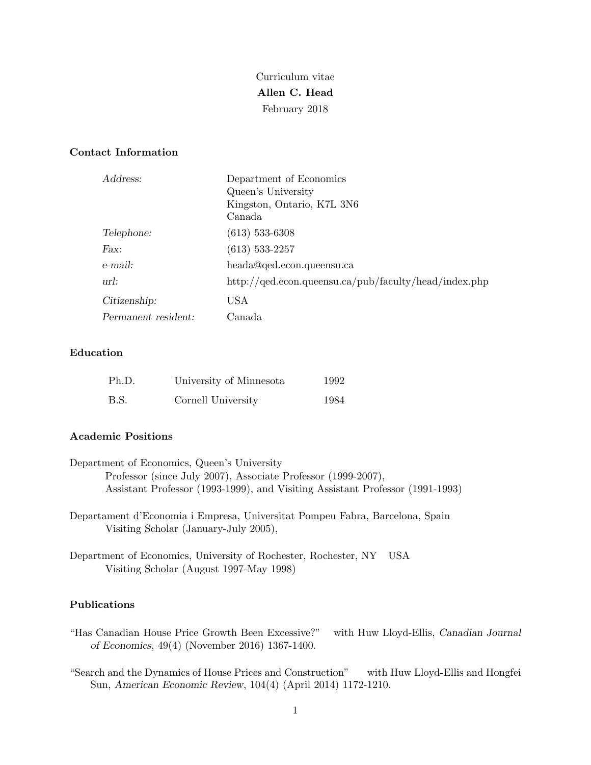Curriculum vitae **Allen C. Head** February 2018

### **Contact Information**

| Address:            | Department of Economics                                         |
|---------------------|-----------------------------------------------------------------|
|                     | Queen's University                                              |
|                     | Kingston, Ontario, K7L 3N6                                      |
|                     | Canada                                                          |
| Telephone:          | $(613)$ 533-6308                                                |
| Fax:                | $(613)$ 533-2257                                                |
| e-mail:             | heada@qed.econ.queensu.ca                                       |
| url:                | $\frac{http://qed.econ.queensu.ca/pub/faculty/head/index.php}{$ |
| Citizenship:        | USA                                                             |
| Permanent resident: | Canada                                                          |

### **Education**

| Ph.D. | University of Minnesota | 1992 |
|-------|-------------------------|------|
| B.S.  | Cornell University      | 1984 |

### **Academic Positions**

| Department of Economics, Queen's University                                   |
|-------------------------------------------------------------------------------|
| Professor (since July 2007), Associate Professor (1999-2007),                 |
| Assistant Professor (1993-1999), and Visiting Assistant Professor (1991-1993) |
|                                                                               |

- Departament d'Economia i Empresa, Universitat Pompeu Fabra, Barcelona, Spain Visiting Scholar (January-July 2005),
- Department of Economics, University of Rochester, Rochester, NY USA Visiting Scholar (August 1997-May 1998)

#### **Publications**

- "Has Canadian House Price Growth Been Excessive?" with Huw Lloyd-Ellis, *Canadian Journal of Economics*, 49(4) (November 2016) 1367-1400.
- "Search and the Dynamics of House Prices and Construction" with Huw Lloyd-Ellis and Hongfei Sun, *American Economic Review*, 104(4) (April 2014) 1172-1210.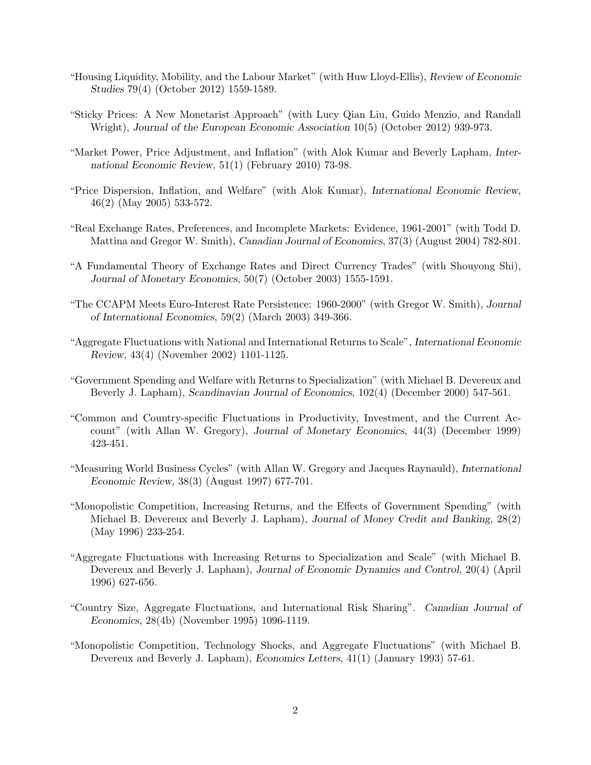- "Housing Liquidity, Mobility, and the Labour Market" (with Huw Lloyd-Ellis), *Review of Economic Studies* 79(4) (October 2012) 1559-1589.
- "Sticky Prices: A New Monetarist Approach" (with Lucy Qian Liu, Guido Menzio, and Randall Wright), *Journal of the European Economic Association* 10(5) (October 2012) 939-973.
- "Market Power, Price Adjustment, and Inflation" (with Alok Kumar and Beverly Lapham, *International Economic Review*, 51(1) (February 2010) 73-98.
- "Price Dispersion, Inflation, and Welfare" (with Alok Kumar), *International Economic Review*, 46(2) (May 2005) 533-572.
- "Real Exchange Rates, Preferences, and Incomplete Markets: Evidence, 1961-2001" (with Todd D. Mattina and Gregor W. Smith), *Canadian Journal of Economics*, 37(3) (August 2004) 782-801.
- "A Fundamental Theory of Exchange Rates and Direct Currency Trades" (with Shouyong Shi), *Journal of Monetary Economics*, 50(7) (October 2003) 1555-1591.
- "The CCAPM Meets Euro-Interest Rate Persistence: 1960-2000" (with Gregor W. Smith), *Journal of International Economics*, 59(2) (March 2003) 349-366.
- "Aggregate Fluctuations with National and International Returns to Scale", *International Economic Review*, 43(4) (November 2002) 1101-1125.
- "Government Spending and Welfare with Returns to Specialization" (with Michael B. Devereux and Beverly J. Lapham), *Scandinavian Journal of Economics*, 102(4) (December 2000) 547-561.
- "Common and Country-specific Fluctuations in Productivity, Investment, and the Current Account" (with Allan W. Gregory), *Journal of Monetary Economics*, 44(3) (December 1999) 423-451.
- "Measuring World Business Cycles" (with Allan W. Gregory and Jacques Raynauld), *International Economic Review*, 38(3) (August 1997) 677-701.
- "Monopolistic Competition, Increasing Returns, and the Effects of Government Spending" (with Michael B. Devereux and Beverly J. Lapham), *Journal of Money Credit and Banking*, 28(2) (May 1996) 233-254.
- "Aggregate Fluctuations with Increasing Returns to Specialization and Scale" (with Michael B. Devereux and Beverly J. Lapham), *Journal of Economic Dynamics and Control*, 20(4) (April 1996) 627-656.
- "Country Size, Aggregate Fluctuations, and International Risk Sharing". *Canadian Journal of Economics*, 28(4b) (November 1995) 1096-1119.
- "Monopolistic Competition, Technology Shocks, and Aggregate Fluctuations" (with Michael B. Devereux and Beverly J. Lapham), *Economics Letters*, 41(1) (January 1993) 57-61.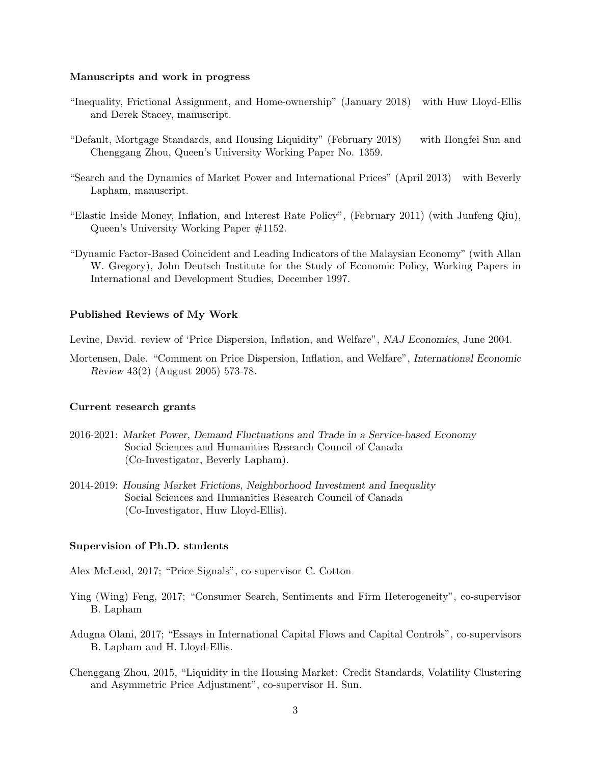#### **Manuscripts and work in progress**

- "Inequality, Frictional Assignment, and Home-ownership" (January 2018) with Huw Lloyd-Ellis and Derek Stacey, manuscript.
- "Default, Mortgage Standards, and Housing Liquidity" (February 2018) with Hongfei Sun and Chenggang Zhou, Queen's University Working Paper No. 1359.
- "Search and the Dynamics of Market Power and International Prices" (April 2013) with Beverly Lapham, manuscript.
- "Elastic Inside Money, Inflation, and Interest Rate Policy", (February 2011) (with Junfeng Qiu), Queen's University Working Paper #1152.
- "Dynamic Factor-Based Coincident and Leading Indicators of the Malaysian Economy" (with Allan W. Gregory), John Deutsch Institute for the Study of Economic Policy, Working Papers in International and Development Studies, December 1997.

#### **Published Reviews of My Work**

Levine, David. review of 'Price Dispersion, Inflation, and Welfare", *NAJ Economics*, June 2004.

Mortensen, Dale. "Comment on Price Dispersion, Inflation, and Welfare", *International Economic Review* 43(2) (August 2005) 573-78.

#### **Current research grants**

- 2016-2021: *Market Power, Demand Fluctuations and Trade in a Service-based Economy* Social Sciences and Humanities Research Council of Canada (Co-Investigator, Beverly Lapham).
- 2014-2019: *Housing Market Frictions, Neighborhood Investment and Inequality* Social Sciences and Humanities Research Council of Canada (Co-Investigator, Huw Lloyd-Ellis).

#### **Supervision of Ph.D. students**

Alex McLeod, 2017; "Price Signals", co-supervisor C. Cotton

- Ying (Wing) Feng, 2017; "Consumer Search, Sentiments and Firm Heterogeneity", co-supervisor B. Lapham
- Adugna Olani, 2017; "Essays in International Capital Flows and Capital Controls", co-supervisors B. Lapham and H. Lloyd-Ellis.
- Chenggang Zhou, 2015, "Liquidity in the Housing Market: Credit Standards, Volatility Clustering and Asymmetric Price Adjustment", co-supervisor H. Sun.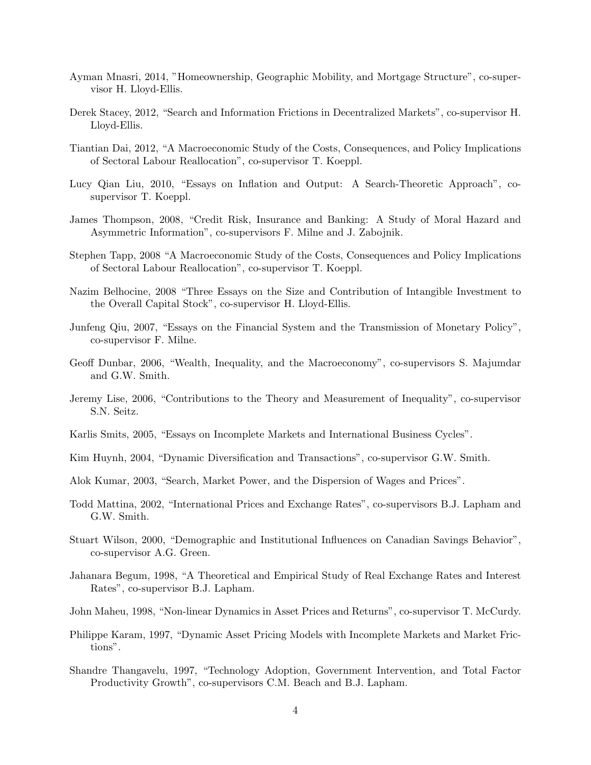- Ayman Mnasri, 2014, "Homeownership, Geographic Mobility, and Mortgage Structure", co-supervisor H. Lloyd-Ellis.
- Derek Stacey, 2012, "Search and Information Frictions in Decentralized Markets", co-supervisor H. Lloyd-Ellis.
- Tiantian Dai, 2012, "A Macroeconomic Study of the Costs, Consequences, and Policy Implications of Sectoral Labour Reallocation", co-supervisor T. Koeppl.
- Lucy Qian Liu, 2010, "Essays on Inflation and Output: A Search-Theoretic Approach", cosupervisor T. Koeppl.
- James Thompson, 2008, "Credit Risk, Insurance and Banking: A Study of Moral Hazard and Asymmetric Information", co-supervisors F. Milne and J. Zabojnik.
- Stephen Tapp, 2008 "A Macroeconomic Study of the Costs, Consequences and Policy Implications of Sectoral Labour Reallocation", co-supervisor T. Koeppl.
- Nazim Belhocine, 2008 "Three Essays on the Size and Contribution of Intangible Investment to the Overall Capital Stock", co-supervisor H. Lloyd-Ellis.
- Junfeng Qiu, 2007, "Essays on the Financial System and the Transmission of Monetary Policy", co-supervisor F. Milne.
- Geoff Dunbar, 2006, "Wealth, Inequality, and the Macroeconomy", co-supervisors S. Majumdar and G.W. Smith.
- Jeremy Lise, 2006, "Contributions to the Theory and Measurement of Inequality", co-supervisor S.N. Seitz.
- Karlis Smits, 2005, "Essays on Incomplete Markets and International Business Cycles".
- Kim Huynh, 2004, "Dynamic Diversification and Transactions", co-supervisor G.W. Smith.
- Alok Kumar, 2003, "Search, Market Power, and the Dispersion of Wages and Prices".
- Todd Mattina, 2002, "International Prices and Exchange Rates", co-supervisors B.J. Lapham and G.W. Smith.
- Stuart Wilson, 2000, "Demographic and Institutional Influences on Canadian Savings Behavior", co-supervisor A.G. Green.
- Jahanara Begum, 1998, "A Theoretical and Empirical Study of Real Exchange Rates and Interest Rates", co-supervisor B.J. Lapham.
- John Maheu, 1998, "Non-linear Dynamics in Asset Prices and Returns", co-supervisor T. McCurdy.
- Philippe Karam, 1997, "Dynamic Asset Pricing Models with Incomplete Markets and Market Frictions".
- Shandre Thangavelu, 1997, "Technology Adoption, Government Intervention, and Total Factor Productivity Growth", co-supervisors C.M. Beach and B.J. Lapham.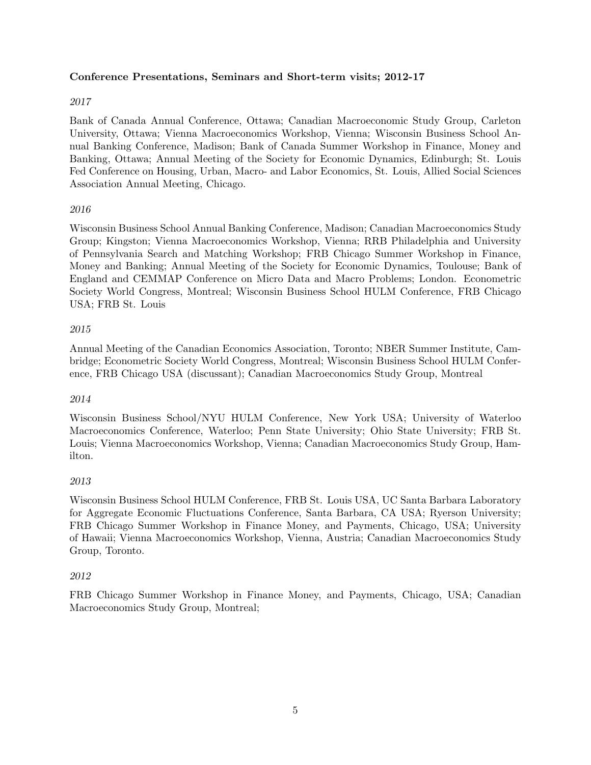## **Conference Presentations, Seminars and Short-term visits; 2012-17**

### *2017*

Bank of Canada Annual Conference, Ottawa; Canadian Macroeconomic Study Group, Carleton University, Ottawa; Vienna Macroeconomics Workshop, Vienna; Wisconsin Business School Annual Banking Conference, Madison; Bank of Canada Summer Workshop in Finance, Money and Banking, Ottawa; Annual Meeting of the Society for Economic Dynamics, Edinburgh; St. Louis Fed Conference on Housing, Urban, Macro- and Labor Economics, St. Louis, Allied Social Sciences Association Annual Meeting, Chicago.

## *2016*

Wisconsin Business School Annual Banking Conference, Madison; Canadian Macroeconomics Study Group; Kingston; Vienna Macroeconomics Workshop, Vienna; RRB Philadelphia and University of Pennsylvania Search and Matching Workshop; FRB Chicago Summer Workshop in Finance, Money and Banking; Annual Meeting of the Society for Economic Dynamics, Toulouse; Bank of England and CEMMAP Conference on Micro Data and Macro Problems; London. Econometric Society World Congress, Montreal; Wisconsin Business School HULM Conference, FRB Chicago USA; FRB St. Louis

## *2015*

Annual Meeting of the Canadian Economics Association, Toronto; NBER Summer Institute, Cambridge; Econometric Society World Congress, Montreal; Wisconsin Business School HULM Conference, FRB Chicago USA (discussant); Canadian Macroeconomics Study Group, Montreal

### *2014*

Wisconsin Business School/NYU HULM Conference, New York USA; University of Waterloo Macroeconomics Conference, Waterloo; Penn State University; Ohio State University; FRB St. Louis; Vienna Macroeconomics Workshop, Vienna; Canadian Macroeconomics Study Group, Hamilton.

# *2013*

Wisconsin Business School HULM Conference, FRB St. Louis USA, UC Santa Barbara Laboratory for Aggregate Economic Fluctuations Conference, Santa Barbara, CA USA; Ryerson University; FRB Chicago Summer Workshop in Finance Money, and Payments, Chicago, USA; University of Hawaii; Vienna Macroeconomics Workshop, Vienna, Austria; Canadian Macroeconomics Study Group, Toronto.

### *2012*

FRB Chicago Summer Workshop in Finance Money, and Payments, Chicago, USA; Canadian Macroeconomics Study Group, Montreal;